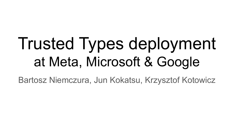# Trusted Types deployment at Meta, Microsoft & Google

Bartosz Niemczura, Jun Kokatsu, Krzysztof Kotowicz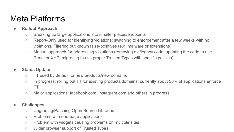## Meta Platforms

- **● Rollout Approach**
	- Breaking up large applications into smaller pieces/endpoints
	- Report-Only used for identifying violations; switching to enforcement after a few weeks with no violations. Filtering out known false-positives (e.g. malware or extensions)
	- Manual approach for addressing violations (removing old/legacy code; updating the code to use React or XHP; migrating to use proper Trusted Types with specific policies)

### **● Status Update:**

- TT used by default for new products/new domains
- In progress: rolling out TT for existing products/domains; currently about 50% of applications enforce TT.
- Major applications: facebook.com, instagram.com and others in progress

### **● Challenges:**

- Upgrading/Patching Open Source Libraries
- Problems with one-page applications
- Problem with widgets causing problems on multiple sites
- Wider browser support of Trusted Types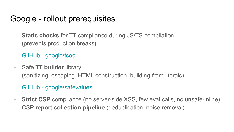### Google - rollout prerequisites

- **Static checks** for TT compliance during JS/TS compilation (prevents production breaks)

[GitHub - google/tsec](https://github.com/google/tsec)

- Safe **TT builder** library (sanitizing, escaping, HTML construction, building from literals)

### [GitHub - google/safevalues](https://github.com/google/safevalues)

- **Strict CSP** compliance (no server-side XSS, few eval calls, no unsafe-inline)
- CSP **report collection pipeline** (deduplication, noise removal)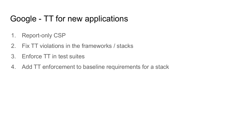# Google - TT for new applications

- 1. Report-only CSP
- 2. Fix TT violations in the frameworks / stacks
- 3. Enforce TT in test suites
- 4. Add TT enforcement to baseline requirements for a stack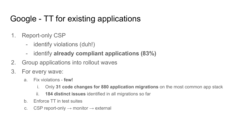# Google - TT for existing applications

- 1. Report-only CSP
	- identify violations (duh!)
	- identify **already compliant applications (83%)**
- 2. Group applications into rollout waves
- 3. For every wave:
	- a. Fix violations **few!**
		- i. Only **31 code changes for 880 application migrations** on the most common app stack
		- ii. **184 distinct issues** identified in all migrations so far
	- b. Enforce TT in test suites
	- c. CSP report-only  $\rightarrow$  monitor  $\rightarrow$  external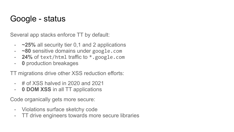### Google - status

Several app stacks enforce TT by default:

- **~25%** all security tier 0,1 and 2 applications
- **~80** sensitive domains under google.com
- **24%** of text/html traffic to \*.google.com
- **0** production breakages

TT migrations drive other XSS reduction efforts:

- # of XSS halved in 2020 and 2021
- **0 DOM XSS** in all TT applications

Code organically gets more secure:

- Violations surface sketchy code
- TT drive engineers towards more secure libraries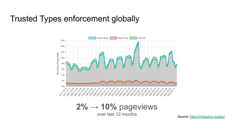### Trusted Types enforcement globally



 $2\% \rightarrow 10\%$  pageviews over last 12 months Source:<https://mitigation.supply/>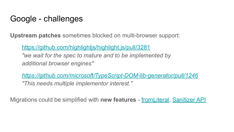### Google - challenges

**Upstream patches** sometimes blocked on multi-browser support:

<https://github.com/highlightjs/highlight.js/pull/3281>

*"we wait for the spec to mature and to be implemented by additional browser engines"*

*<https://github.com/microsoft/TypeScript-DOM-lib-generator/pull/1246> "This needs multiple implementor interest."*

Migrations could be simplified with **new features** - [fromLiteral](https://github.com/w3c/webappsec-trusted-types/issues/347), [Sanitizer API](https://github.com/WICG/sanitizer-api)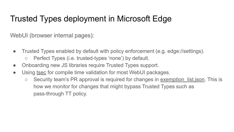# Trusted Types deployment in Microsoft Edge

WebUI (browser internal pages):

- Trusted Types enabled by default with policy enforcement (e.g. edge://settings).
	- Perfect Types (i.e. trusted-types 'none') by default.
- Onboarding new JS libraries require Trusted Types support.
- Using [tsec](https://github.com/google/tsec) for compile time validation for most WebUI packages.
	- Security team's PR approval is required for changes in exemption list.json. This is how we monitor for changes that might bypass Trusted Types such as pass-through TT policy.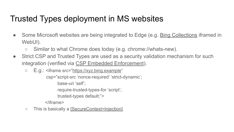# Trusted Types deployment in MS websites

- Some Microsoft websites are being integrated to Edge (e.g. [Bing Collections](https://edgeservices.bing.com/saves?ptn=edgerp) iframed in WebUI).
	- Similar to what Chrome does today (e.g. chrome://whats-new).
- Strict CSP and Trusted Types are used as a security validation mechanism for such integration (verified via [CSP Embedded Enforcement](https://www.w3.org/TR/csp-embedded-enforcement/)).
	- E.g.: <iframe src=["https://xyz.bing.example](https://xyz.bing.example)" csp="script-src 'nonce-required' 'strict-dynamic'; base-uri 'self';

require-trusted-types-for 'script';

trusted-types default;">

</iframe>

○ This is basically a [\[SecureContext=Injection\]](https://github.com/mikewest/securer-contexts/#what-defenses-would-securecontextinjection-require).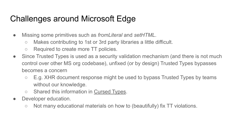# Challenges around Microsoft Edge

- Missing some primitives such as *fromLiteral* and *setHTML*.
	- Makes contributing to 1st or 3rd party libraries a little difficult.
	- Required to create more TT policies.
- Since Trusted Types is used as a security validation mechanism (and there is not much control over other MS org codebase), unfixed (or by design) Trusted Types bypasses becomes a concern
	- $\circ$  E.g. XHR document response might be used to bypass Trusted Types by teams without our knowledge.
	- Shared this information in [Cursed Types.](https://github.com/shhnjk/cursed_types)
- Developer education.
	- Not many educational materials on how to (beautifully) fix TT violations.